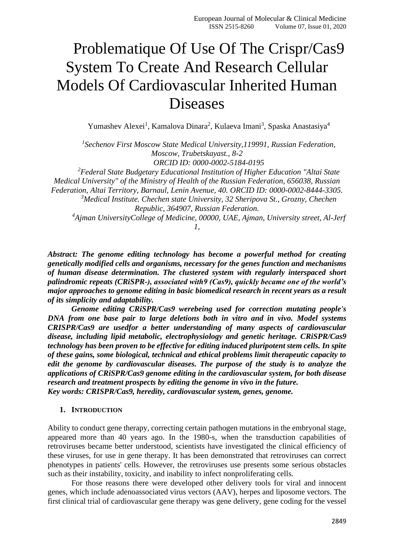# Problematique Of Use Of The Crispr/Cas9 System To Create And Research Cellular Models Of Cardiovascular Inherited Human Diseases

Yumashev Alexei<sup>1</sup>, Kamalova Dinara<sup>2</sup>, Kulaeva Imani<sup>3</sup>, Spaska Anastasiya<sup>4</sup>

<sup>1</sup> Sechenov First Moscow State Medical University, 119991, Russian Federation, *Moscow, Trubetskayast., 8-2 ORCID ID: 0000-0002-5184-0195 <sup>2</sup>Federal State Budgetary Educational Institution of Higher Education "Altai State Medical University" of the Ministry of Health of the Russian Federation, 656038, Russian* 

*Federation, Altai Territory, Barnaul, Lenin Avenue, 40. ORCID ID: [0000-0002-8444-3305.](https://orcid.org/0000-0002-8444-3305) <sup>3</sup>Medical Institute. Chechen state University, 32 Sheripova St., Grozny, Chechen* 

*Republic, 364907, Russian Federation.*

*<sup>4</sup>Ajman UniversityCollege of Medicine, 00000, UAE, Ajman, University street, Al-Jerf 1,*

*Abstract: The genome editing technology has become a powerful method for creating genetically modified cells and organisms, necessary for the genes function and mechanisms of human disease determination. The clustered system with regularly interspaced short palindromic repeats (CRiSPR-), associated with9 (Cas9), quickly became one of the world's major approaches to genome editing in basic biomedical research in recent years as a result of its simplicity and adaptability.*

*Genome editing CRiSPR/Cas9 werebeing used for correction mutating people's DNA from one base pair to large deletions both in vitro and in vivo. Model systems CRISPR/Cas9 are usedfor a better understanding of many aspects of cardiovascular disease, including lipid metabolic, electrophysiology and genetic heritage. CRiSPR/Cas9 technology has been proven to be effective for editing induced pluripotent stem cells. In spite of these gains, some biological, technical and ethical problems limit therapeutic capacity to edit the genome by cardiovascular diseases. The purpose of the study is to analyze the applications of CRiSPR/Cas9 genome editing in the cardiovascular system, for both disease research and treatment prospects by editing the genome in vivo in the future. Key words: CRISPR/Cas9, heredity, cardiovascular system, genes, genome.*

## **1. INTRODUCTION**

Ability to conduct gene therapy, correcting certain pathogen mutations in the embryonal stage, appeared more than 40 years ago. In the 1980-s, when the transduction capabilities of retroviruses became better understood, scientists have investigated the clinical efficiency of these viruses, for use in gene therapy. It has been demonstrated that retroviruses can correct phenotypes in patients' cells. However, the retroviruses use presents some serious obstacles such as their instability, toxicity, and inability to infect nonproliferating cells.

For those reasons there were developed other delivery tools for viral and innocent genes, which include adenoassociated virus vectors (AAV), herpes and liposome vectors. The first clinical trial of cardiovascular gene therapy was gene delivery, gene coding for the vessel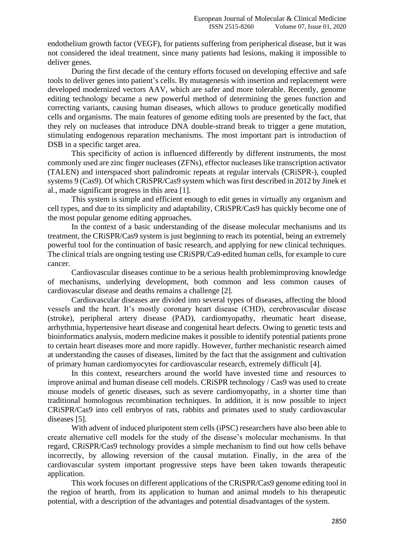endothelium growth factor (VEGF), for patients suffering from peripherical disease, but it was not considered the ideal treatment, since many patients had lesions, making it impossible to deliver genes.

During the first decade of the century efforts focused on developing effective and safe tools to deliver genes into patient's cells. By mutagenesis with insertion and replacement were developed modernized vectors AAV, which are safer and more tolerable. Recently, genome editing technology became a new powerful method of determining the genes function and correcting variants, causing human diseases, which allows to produce genetically modified cells and organisms. The main features of genome editing tools are presented by the fact, that they rely on nucleases that introduce DNA double-strand break to trigger a gene mutation, stimulating endogenous reparation mechanisms. The most important part is introduction of DSB in a specific target area.

This specificity of action is influenced differently by different instruments, the most commonly used are zinc finger nucleases (ZFNs), effector nucleases like transcription activator (TALEN) and interspaced short palindromic repeats at regular intervals (CRiSPR-), coupled systems 9 (Cas9). Of which CRiSPR/Cas9 system which was first described in 2012 by Jinek et al., made significant progress in this area [1].

This system is simple and efficient enough to edit genes in virtually any organism and cell types, and due to its simplicity and adaptability, CRiSPR/Cas9 has quickly become one of the most popular genome editing approaches.

In the context of a basic understanding of the disease molecular mechanisms and its treatment, the CRiSPR/Cas9 system is just beginning to reach its potential, being an extremely powerful tool for the continuation of basic research, and applying for new clinical techniques. The clinical trials are ongoing testing use CRiSPR/Ca9-edited human cells, for example to cure cancer.

Cardiovascular diseases continue to be a serious health problemimproving knowledge of mechanisms, underlying development, both common and less common causes of cardiovascular disease and deaths remains a challenge [2].

Cardiovascular diseases are divided into several types of diseases, affecting the blood vessels and the heart. It's mostly coronary heart disease (CHD), cerebrovascular disease (stroke), peripheral artery disease (PAD), cardiomyopathy, rheumatic heart disease, arrhythmia, hypertensive heart disease and congenital heart defects. Owing to genetic tests and bioinformatics analysis, modern medicine makes it possible to identify potential patients prone to certain heart diseases more and more rapidly. However, further mechanistic research aimed at understanding the causes of diseases, limited by the fact that the assignment and cultivation of primary human cardiomyocytes for cardiovascular research, extremely difficult [4].

In this context, researchers around the world have invested time and resources to improve animal and human disease cell models. CRiSPR technology / Cas9 was used to create mouse models of genetic diseases, such as severe cardiomyopathy, in a shorter time than traditional homologous recombination techniques. In addition, it is now possible to inject CRiSPR/Cas9 into cell embryos of rats, rabbits and primates used to study cardiovascular diseases [5].

With advent of induced pluripotent stem cells (iPSC) researchers have also been able to create alternative cell models for the study of the disease's molecular mechanisms. In that regard, CRiSPR/Cas9 technology provides a simple mechanism to find out how cells behave incorrectly, by allowing reversion of the causal mutation. Finally, in the area of the cardiovascular system important progressive steps have been taken towards therapeutic application.

This work focuses on different applications of the CRiSPR/Cas9 genome editing tool in the region of hearth, from its application to human and animal models to his therapeutic potential, with a description of the advantages and potential disadvantages of the system.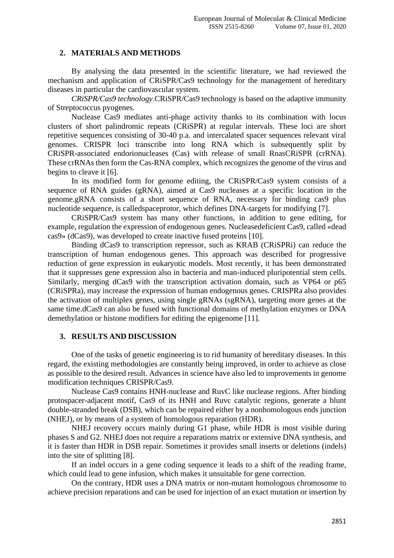## **2. MATERIALS AND METHODS**

By analysing the data presented in the scientific literature, we had reviewed the mechanism and application of CRiSPR/Cas9 technology for the management of hereditary diseases in particular the cardiovascular system.

*CRiSPR/Cas9 technology*.CRiSPR/Cas9 technology is based on the adaptive immunity of Streptococcus pyogenes.

Nuclease Cas9 mediates anti-phage activity thanks to its combination with locus clusters of short palindromic repeats (CRiSPR) at regular intervals. These loci are short repetitive sequences consisting of 30-40 p.a. and intercalated spacer sequences relevant viral genomes. CRISPR loci transcribe into long RNA which is subsequently split by CRiSPR-associated endorionucleases (Cas) with release of small RnasCRiSPR (crRNA). These crRNAs then form the Cas-RNA complex, which recognizes the genome of the virus and begins to cleave it [6].

In its modified form for genome editing, the CRiSPR/Cas9 system consists of a sequence of RNA guides (gRNA), aimed at Cas9 nucleases at a specific location in the genome.gRNA consists of a short sequence of RNA, necessary for binding cas9 plus nucleotide sequence, is calledspaceprotor, which defines DNA-targets for modifying [7].

CRiSPR/Cas9 system has many other functions, in addition to gene editing, for example, regulation the expression of endogenous genes. Nucleasedeficient Cas9, called «dead cas9» (dCas9), was developed to create inactive fused proteins [10].

Binding dCas9 to transcription repressor, such as KRAB (CRiSPRi) can reduce the transcription of human endogenous genes. This approach was described for progressive reduction of gene expression in eukaryotic models. Most recently, it has been demonstrated that it suppresses gene expression also in bacteria and man-induced pluripotential stem cells. Similarly, merging dCas9 with the transcription activation domain, such as VP64 or p65 (CRiSPRa), may increase the expression of human endogenous genes. CRISPRa also provides the activation of multiplex genes, using single gRNAs (sgRNA), targeting more genes at the same time.dCas9 can also be fused with functional domains of methylation enzymes or DNA demethylation or histone modifiers for editing the epigenome [11].

## **3. RESULTS AND DISCUSSION**

One of the tasks of genetic engineering is to rid humanity of hereditary diseases. In this regard, the existing methodologies are constantly being improved, in order to achieve as close as possible to the desired result. Advances in science have also led to improvements in genome modification techniques CRISPR/Cas9.

Nuclease Cas9 contains HNH-nuclease and RuvC like nuclease regions. After binding protospacer-adjacent motif, Cas9 of its HNH and Ruvc catalytic regions, generate a blunt double-stranded break (DSB), which can be repaired either by a nonhomologous ends junction (NHEJ), or by means of a system of homologous reparation (HDR).

NHEJ recovery occurs mainly during G1 phase, while HDR is most visible during phases S and G2. NHEJ does not require a reparations matrix or extensive DNA synthesis, and it is faster than HDR in DSB repair. Sometimes it provides small inserts or deletions (indels) into the site of splitting [8].

If an indel occurs in a gene coding sequence it leads to a shift of the reading frame, which could lead to gene infusion, which makes it unsuitable for gene correction.

On the contrary, HDR uses a DNA matrix or non-mutant homologous chromosome to achieve precision reparations and can be used for injection of an exact mutation or insertion by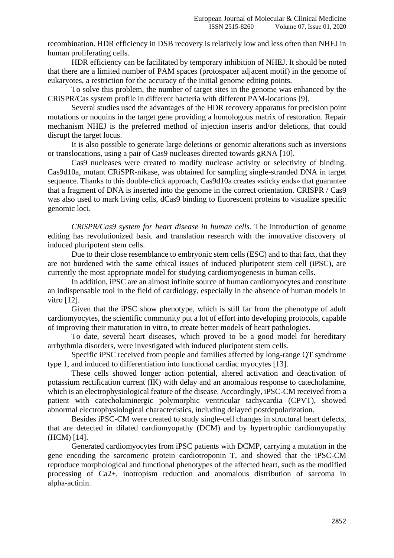recombination. HDR efficiency in DSB recovery is relatively low and less often than NHEJ in human proliferating cells.

HDR efficiency can be facilitated by temporary inhibition of NHEJ. It should be noted that there are a limited number of PAM spaces (protospacer adjacent motif) in the genome of eukaryotes, a restriction for the accuracy of the initial genome editing points.

To solve this problem, the number of target sites in the genome was enhanced by the CRiSPR/Cas system profile in different bacteria with different PAM-locations [9].

Several studies used the advantages of the HDR recovery apparatus for precision point mutations or noquins in the target gene providing a homologous matrix of restoration. Repair mechanism NHEJ is the preferred method of injection inserts and/or deletions, that could disrupt the target locus.

It is also possible to generate large deletions or genomic alterations such as inversions or translocations, using a pair of Cas9 nucleases directed towards gRNA [10].

Cas9 nucleases were created to modify nuclease activity or selectivity of binding. Cas9d10a, mutant CRiSPR-nikase, was obtained for sampling single-stranded DNA in target sequence. Thanks to this double-click approach, Cas9d10a creates «sticky ends» that guarantee that a fragment of DNA is inserted into the genome in the correct orientation. CRISPR / Cas9 was also used to mark living cells, dCas9 binding to fluorescent proteins to visualize specific genomic loci.

*CRiSPR/Cas9 system for heart disease in human cells.* The introduction of genome editing has revolutionized basic and translation research with the innovative discovery of induced pluripotent stem cells.

Due to their close resemblance to embryonic stem cells (ESC) and to that fact, that they are not burdened with the same ethical issues of induced pluripotent stem cell (iPSC), are currently the most appropriate model for studying cardiomyogenesis in human cells.

In addition, iPSC are an almost infinite source of human cardiomyocytes and constitute an indispensable tool in the field of cardiology, especially in the absence of human models in vitro [12].

Given that the iPSC show phenotype, which is still far from the phenotype of adult cardiomyocytes, the scientific community put a lot of effort into developing protocols, capable of improving their maturation in vitro, to create better models of heart pathologies.

To date, several heart diseases, which proved to be a good model for hereditary arrhythmia disorders, were investigated with induced pluripotent stem cells.

Specific iPSC received from people and families affected by long-range QT syndrome type 1, and induced to differentiation into functional cardiac myocytes [13].

These cells showed longer action potential, altered activation and deactivation of potassium rectification current (IK) with delay and an anomalous response to catecholamine, which is an electrophysiological feature of the disease. Accordingly, iPSC-CM received from a patient with catecholaminergic polymorphic ventricular tachycardia (CPVT), showed abnormal electrophysiological characteristics, including delayed postdepolarization.

Besides iPSC-CM were created to study single-cell changes in structural heart defects, that are detected in dilated cardiomyopathy (DCM) and by hypertrophic cardiomyopathy (HCM) [14].

Generated cardiomyocytes from iPSC patients with DCMP, carrying a mutation in the gene encoding the sarcomeric protein cardiotroponin T, and showed that the iPSC-CM reproduce morphological and functional phenotypes of the affected heart, such as the modified processing of Ca2+, inotropism reduction and anomalous distribution of sarcoma in alpha-actinin.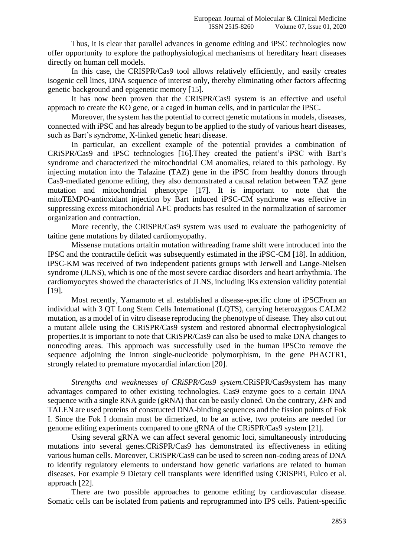Thus, it is clear that parallel advances in genome editing and iPSC technologies now offer opportunity to explore the pathophysiological mechanisms of hereditary heart diseases directly on human cell models.

In this case, the CRISPR/Cas9 tool allows relatively efficiently, and easily creates isogenic cell lines, DNA sequence of interest only, thereby eliminating other factors affecting genetic background and epigenetic memory [15].

It has now been proven that the CRISPR/Cas9 system is an effective and useful approach to create the KO gene, or a caged in human cells, and in particular the iPSC.

Moreover, the system has the potential to correct genetic mutations in models, diseases, connected with iPSC and has already begun to be applied to the study of various heart diseases, such as Bart's syndrome, X-linked genetic heart disease.

In particular, an excellent example of the potential provides a combination of CRiSPR/Cas9 and iPSC technologies [16].They created the patient's iPSC with Bart's syndrome and characterized the mitochondrial CM anomalies, related to this pathology. By injecting mutation into the Tafazine (TAZ) gene in the iPSC from healthy donors through Cas9-mediated genome editing, they also demonstrated a causal relation between TAZ gene mutation and mitochondrial phenotype [17]. It is important to note that the mitoTEMPO-antioxidant injection by Bart induced iPSC-CM syndrome was effective in suppressing excess mitochondrial AFC products has resulted in the normalization of sarcomer organization and contraction.

More recently, the CRiSPR/Cas9 system was used to evaluate the pathogenicity of taitine gene mutations by dilated cardiomyopathy.

Missense mutations ortaitin mutation withreading frame shift were introduced into the IPSC and the contractile deficit was subsequently estimated in the iPSC-CM [18]. In addition, iPSC-KM was received of two independent patients groups with Jerwell and Lange-Nielsen syndrome (JLNS), which is one of the most severe cardiac disorders and heart arrhythmia. The cardiomyocytes showed the characteristics of JLNS, including IKs extension validity potential [19].

Most recently, Yamamoto et al. established a disease-specific clone of iPSCFrom an individual with 3 QT Long Stem Cells International (LQTS), carrying heterozygous CALM2 mutation, as a model of in vitro disease reproducing the phenotype of disease. They also cut out a mutant allele using the CRiSPR/Cas9 system and restored abnormal electrophysiological properties.It is important to note that CRiSPR/Cas9 can also be used to make DNA changes to noncoding areas. This approach was successfully used in the human iPSCto remove the sequence adjoining the intron single-nucleotide polymorphism, in the gene PHACTR1, strongly related to premature myocardial infarction [20].

*Strengths and weaknesses of CRiSPR/Cas9 system.*CRiSPR/Cas9system has many advantages compared to other existing technologies. Cas9 enzyme goes to a certain DNA sequence with a single RNA guide (gRNA) that can be easily cloned. On the contrary, ZFN and TALEN are used proteins of constructed DNA-binding sequences and the fission points of Fok I. Since the Fok I domain must be dimerized, to be an active, two proteins are needed for genome editing experiments compared to one gRNA of the CRiSPR/Cas9 system [21].

Using several gRNA we can affect several genomic loci, simultaneously introducing mutations into several genes.CRiSPR/Cas9 has demonstrated its effectiveness in editing various human cells. Moreover, CRiSPR/Cas9 can be used to screen non-coding areas of DNA to identify regulatory elements to understand how genetic variations are related to human diseases. For example 9 Dietary cell transplants were identified using CRiSPRi, Fulco et al. approach [22].

There are two possible approaches to genome editing by cardiovascular disease. Somatic cells can be isolated from patients and reprogrammed into IPS cells. Patient-specific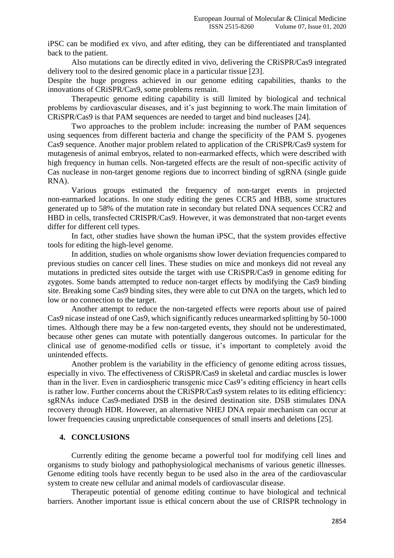iPSC can be modified ex vivo, and after editing, they can be differentiated and transplanted back to the patient.

Also mutations can be directly edited in vivo, delivering the CRiSPR/Cas9 integrated delivery tool to the desired genomic place in a particular tissue [23].

Despite the huge progress achieved in our genome editing capabilities, thanks to the innovations of CRiSPR/Cas9, some problems remain.

Therapeutic genome editing capability is still limited by biological and technical problems by cardiovascular diseases, and it's just beginning to work.The main limitation of CRiSPR/Cas9 is that PAM sequences are needed to target and bind nucleases [24].

Two approaches to the problem include: increasing the number of PAM sequences using sequences from different bacteria and change the specificity of the PAM S. pyogenes Cas9 sequence. Another major problem related to application of the CRiSPR/Cas9 system for mutagenesis of animal embryos, related to non-earmarked effects, which were described with high frequency in human cells. Non-targeted effects are the result of non-specific activity of Cas nuclease in non-target genome regions due to incorrect binding of sgRNA (single guide RNA).

Various groups estimated the frequency of non-target events in projected non-earmarked locations. In one study editing the genes CCR5 and HBB, some structures generated up to 58% of the mutation rate in secondary but related DNA sequences CCR2 and HBD in cells, transfected CRISPR/Cas9. However, it was demonstrated that non-target events differ for different cell types.

In fact, other studies have shown the human iPSC, that the system provides effective tools for editing the high-level genome.

In addition, studies on whole organisms show lower deviation frequencies compared to previous studies on cancer cell lines. These studies on mice and monkeys did not reveal any mutations in predicted sites outside the target with use CRiSPR/Cas9 in genome editing for zygotes. Some bands attempted to reduce non-target effects by modifying the Cas9 binding site. Breaking some Cas9 binding sites, they were able to cut DNA on the targets, which led to low or no connection to the target.

Another attempt to reduce the non-targeted effects were reports about use of paired Cas9 nicase instead of one Cas9, which significantly reduces unearmarked splitting by 50-1000 times. Although there may be a few non-targeted events, they should not be underestimated, because other genes can mutate with potentially dangerous outcomes. In particular for the clinical use of genome-modified cells or tissue, it's important to completely avoid the unintended effects.

Another problem is the variability in the efficiency of genome editing across tissues, especially in vivo. The effectiveness of CRiSPR/Cas9 in skeletal and cardiac muscles is lower than in the liver. Even in cardiospheric transgenic mice Cas9's editing efficiency in heart cells is rather low. Further concerns about the CRiSPR/Cas9 system relates to its editing efficiency: sgRNAs induce Cas9-mediated DSB in the desired destination site. DSB stimulates DNA recovery through HDR. However, an alternative NHEJ DNA repair mechanism can occur at lower frequencies causing unpredictable consequences of small inserts and deletions [25].

## **4. CONCLUSIONS**

Currently editing the genome became a powerful tool for modifying cell lines and organisms to study biology and pathophysiological mechanisms of various genetic illnesses. Genome editing tools have recently begun to be used also in the area of the cardiovascular system to create new cellular and animal models of cardiovascular disease.

Therapeutic potential of genome editing continue to have biological and technical barriers. Another important issue is ethical concern about the use of CRISPR technology in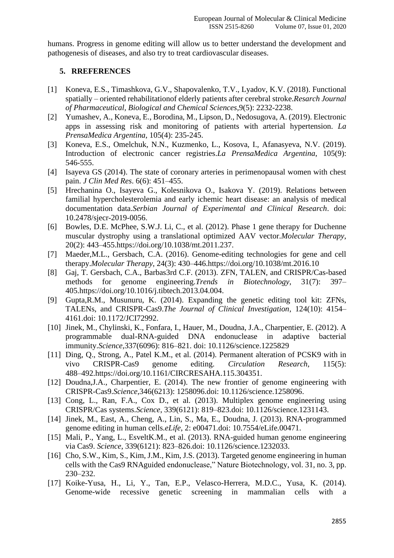humans. Progress in genome editing will allow us to better understand the development and pathogenesis of diseases, and also try to treat cardiovascular diseases.

## **5. RREFERENCES**

- [1] Koneva, E.S., Timashkova, G.V., Shapovalenko, T.V., Lyadov, K.V. (2018). Functional spatially – oriented rehabilitationof elderly patients after cerebral stroke.*Resarch Journal of Pharmaceutical, Biological and Chemical Sciences*,9(5): 2232-2238.
- [2] Yumashev, A., Koneva, E., Borodina, M., Lipson, D., Nedosugova, A. (2019). Electronic apps in assessing risk and monitoring of patients with arterial hypertension. *La PrensaMedica Argentina*, 105(4): 235-245.
- [3] Koneva, E.S., Omelchuk, N.N., Kuzmenko, L., Kosova, I., Afanasyeva, N.V. (2019). Introduction of electronic cancer registries.*La PrensaMedica Argentina*, 105(9): 546-555.
- [4] Isayeva GS (2014). The state of coronary arteries in perimenopausal women with chest pain. *J Clin Med Res*. 6(6): 451–455.
- [5] Hrechanina O., Isayeva G., Kolesnikova O., Isakova Y. (2019). Relations between familial hypercholesterolemia and early ichemic heart disease: an analysis of medical documentation data.*Serbian Journal of Experimental and Clinical Research*. doi: 10.2478/sjecr-2019-0056.
- [6] Bowles, D.E. McPhee, S.W.J. Li, C., et al. (2012). Phase 1 gene therapy for Duchenne muscular dystrophy using a translational optimized AAV vector.*Molecular Therapy*, 20(2): 443–455[.https://doi.org/10.1038/mt.2011.237.](https://doi.org/10.1038/mt.2011.237)
- [7] Maeder,M.L., Gersbach, C.A. (2016). Genome-editing technologies for gene and cell therapy.*Molecular Therapy*, 24(3): 430–446[.https://doi.org/10.1038/mt.2016.10](https://doi.org/10.1038/mt.2016.10)
- [8] Gaj, T. Gersbach, C.A., Barbas3rd C.F. (2013). ZFN, TALEN, and CRISPR/Cas-based methods for genome engineering.*Trends in Biotechnology*, 31(7): 397– 405[.https://doi.org/10.1016/j.tibtech.2013.04.004.](https://doi.org/10.1016/j.tibtech.2013.04.004)
- [9] Gupta,R.M., Musunuru, K. (2014). Expanding the genetic editing tool kit: ZFNs, TALENs, and CRISPR-Cas9.*The Journal of Clinical Investigation*, 124(10): 4154– 4161.doi: [10.1172/JCI72992.](https://doi.org/10.1172/JCI72992)
- [10] Jinek, M., Chylinski, K., Fonfara, I., Hauer, M., Doudna, J.A., Charpentier, E. (2012). A programmable dual-RNA-guided DNA endonuclease in adaptive bacterial immunity.*Science*,337(6096): 816–821. doi: 10.1126/science.1225829
- [11] Ding, Q., Strong, A., Patel K.M., et al. (2014). Permanent alteration of PCSK9 with in vivo CRISPR-Cas9 genome editing. *Circulation Research*, 115(5): 488–492[.https://doi.org/10.1161/CIRCRESAHA.115.304351.](https://doi.org/10.1161/CIRCRESAHA.115.304351)
- [12] Doudna, J.A., Charpentier, E. (2014). The new frontier of genome engineering with CRISPR-Cas9.*Science*,346(6213): 1258096.doi: 10.1126/science.1258096.
- [13] Cong, L., Ran, F.A., Cox D., et al. (2013). Multiplex genome engineering using CRISPR/Cas systems.*Science*, 339(6121): 819–823.doi: 10.1126/science.1231143.
- [14] Jinek, M., East, A., Cheng, A., Lin, S., Ma, E., Doudna, J. (2013). RNA-programmed genome editing in human cells.*eLife*, 2: e00471.doi: [10.7554/eLife.00471.](https://doi.org/10.7554/eLife.00471)
- [15] Mali, P., Yang, L., EsveltK.M., et al. (2013). RNA-guided human genome engineering via Cas9. *Science*, 339(6121): 823–826.doi: 10.1126/science.1232033.
- [16] Cho, S.W., Kim, S., Kim, J.M., Kim, J.S. (2013). Targeted genome engineering in human cells with the Cas9 RNAguided endonuclease," Nature Biotechnology, vol. 31, no. 3, pp. 230–232.
- [17] Koike-Yusa, H., Li, Y., Tan, E.P., Velasco-Herrera, M.D.C., Yusa, K. (2014). Genome-wide recessive genetic screening in mammalian cells with a